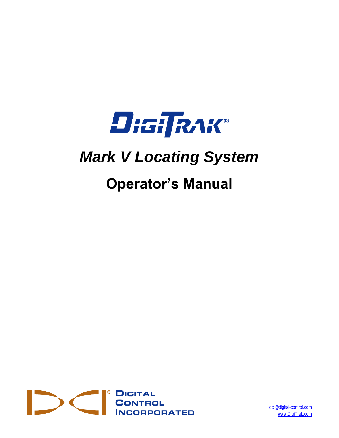

# *Mark V Locating System*

# **Operator's Manual**



[dci@digital-control.com](mailto:dci@digital-control.com) [www.DigiTrak.com](http://www.digitrak.com/)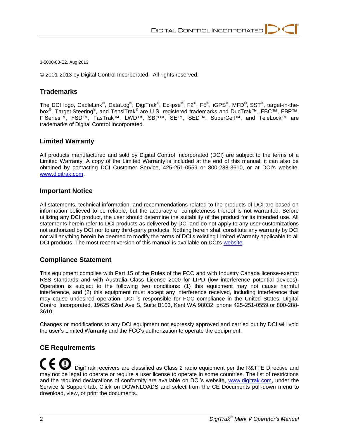3-5000-00-E2, Aug 2013

© 2001-2013 by Digital Control Incorporated. All rights reserved.

#### **Trademarks**

The DCI logo, CableLink $^\mathbb{P}$ , DataLog $^\mathbb{P}$ , DigiTrak $^\mathbb{P}$ , Eclipse $^\mathbb{P}$ , FS $^\mathbb{P}$ , iGPS $^\mathbb{P}$ , MFD $^\mathbb{P}$ , SST $^\mathbb{P}$ , target-in-thebox<sup>®</sup>, Target Steering<sup>®</sup>, and TensiTrak<sup>®</sup> are U.S. registered trademarks and DucTrak™, FBC™, FBP™, F Series™, FSD™, FasTrak™, LWD™, SBP™, SE™, SED™, SuperCell™, and TeleLock™ are trademarks of Digital Control Incorporated.

#### **Limited Warranty**

All products manufactured and sold by Digital Control Incorporated (DCI) are subject to the terms of a Limited Warranty. A copy of the Limited Warranty is included at the end of this manual; it can also be obtained by contacting DCI Customer Service, 425-251-0559 or 800-288-3610, or at DCI's website, [www.digitrak.com.](http://www.digitrak.com/)

#### **Important Notice**

All statements, technical information, and recommendations related to the products of DCI are based on information believed to be reliable, but the accuracy or completeness thereof is not warranted. Before utilizing any DCI product, the user should determine the suitability of the product for its intended use. All statements herein refer to DCI products as delivered by DCI and do not apply to any user customizations not authorized by DCI nor to any third-party products. Nothing herein shall constitute any warranty by DCI nor will anything herein be deemed to modify the terms of DCI's existing Limited Warranty applicable to all DCI products. The most recent version of this manual is available on DCI's [website.](http://www.digitrak.com/customerservice/downloads.html)

#### **Compliance Statement**

This equipment complies with Part 15 of the Rules of the FCC and with Industry Canada license-exempt RSS standards and with Australia Class License 2000 for LIPD (low interference potential devices). Operation is subject to the following two conditions: (1) this equipment may not cause harmful interference, and (2) this equipment must accept any interference received, including interference that may cause undesired operation. DCI is responsible for FCC compliance in the United States: Digital Control Incorporated, 19625 62nd Ave S, Suite B103, Kent WA 98032; phone 425-251-0559 or 800-288- 3610.

Changes or modifications to any DCI equipment not expressly approved and carried out by DCI will void the user's Limited Warranty and the FCC's authorization to operate the equipment.

#### **CE Requirements**

 DigiTrak receivers are classified as Class 2 radio equipment per the R&TTE Directive and may not be legal to operate or require a user license to operate in some countries. The list of restrictions and the required declarations of conformity are available on DCI's website, [www.digitrak.com,](http://www.digitrak.com/customerservice/downloads.html) under the Service & Support tab. Click on DOWNLOADS and select from the CE Documents pull-down menu to download, view, or print the documents.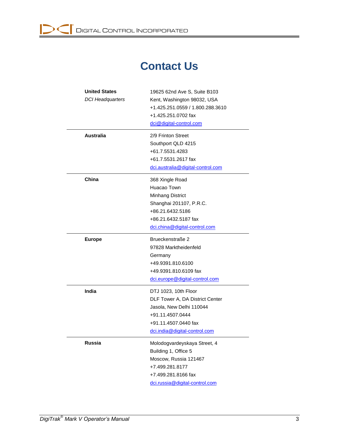# **Contact Us**

| <b>United States</b><br><b>DCI Headquarters</b> | 19625 62nd Ave S, Suite B103<br>Kent, Washington 98032, USA<br>+1.425.251.0559 / 1.800.288.3610<br>+1.425.251.0702 fax<br>dci@digital-control.com                |
|-------------------------------------------------|------------------------------------------------------------------------------------------------------------------------------------------------------------------|
| Australia                                       | 2/9 Frinton Street<br>Southport QLD 4215<br>+61.7.5531.4283<br>+61.7.5531.2617 fax<br>dci.australia@digital-control.com                                          |
| China                                           | 368 Xingle Road<br>Huacao Town<br>Minhang District<br>Shanghai 201107, P.R.C.<br>+86.21.6432.5186<br>+86.21.6432.5187 fax<br>dci.china@digital-control.com       |
| <b>Europe</b>                                   | Brueckenstraße 2<br>97828 Marktheidenfeld<br>Germany<br>+49.9391.810.6100<br>+49.9391.810.6109 fax<br>dci.europe@digital-control.com                             |
| India                                           | DTJ 1023, 10th Floor<br>DLF Tower A, DA District Center<br>Jasola, New Delhi 110044<br>+91.11.4507.0444<br>+91.11.4507.0440 fax<br>dci.india@digital-control.com |
| <b>Russia</b>                                   | Molodogvardeyskaya Street, 4<br>Building 1, Office 5<br>Moscow, Russia 121467<br>+7.499.281.8177<br>+7.499.281.8166 fax<br>dci.russia@digital-control.com        |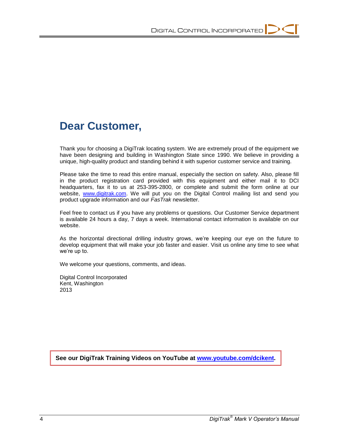# **Dear Customer,**

Thank you for choosing a DigiTrak locating system. We are extremely proud of the equipment we have been designing and building in Washington State since 1990. We believe in providing a unique, high-quality product and standing behind it with superior customer service and training.

Please take the time to read this entire manual, especially the section on safety. Also, please fill in the product registration card provided with this equipment and either mail it to DCI headquarters, fax it to us at 253-395-2800, or complete and submit the form online at our website, [www.digitrak.com.](http://www.digitrak.com/) We will put you on the Digital Control mailing list and send you product upgrade information and our *FasTrak* newsletter.

Feel free to contact us if you have any problems or questions. Our Customer Service department is available 24 hours a day, 7 days a week. International contact information is available on our website.

As the horizontal directional drilling industry grows, we're keeping our eye on the future to develop equipment that will make your job faster and easier. Visit us online any time to see what we're up to.

We welcome your questions, comments, and ideas.

Digital Control Incorporated Kent, Washington 2013

**See our DigiTrak Training Videos on YouTube at [www.youtube.com/dcikent.](http://www.youtube.com/dcikent)**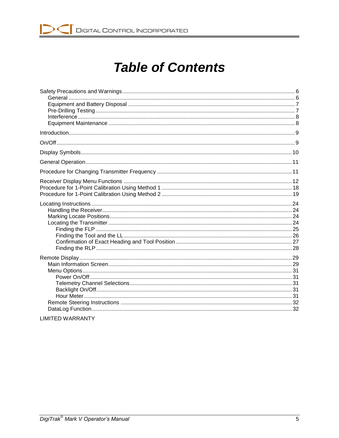# **Table of Contents**

| . <b>. .</b> |  |
|--------------|--|

**LIMITED WARRANTY**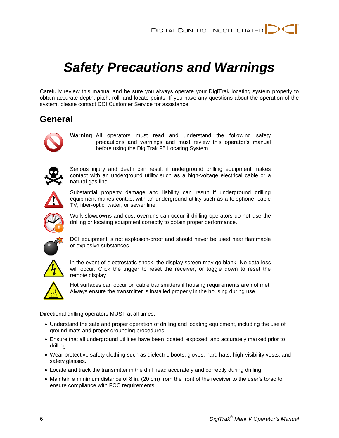# *Safety Precautions and Warnings*

Carefully review this manual and be sure you always operate your DigiTrak locating system properly to obtain accurate depth, pitch, roll, and locate points. If you have any questions about the operation of the system, please contact DCI Customer Service for assistance.

## **General**



**Warning** All operators must read and understand the following safety precautions and warnings and must review this operator's manual before using the DigiTrak F5 Locating System.



Serious injury and death can result if underground drilling equipment makes contact with an underground utility such as a high-voltage electrical cable or a natural gas line.



Substantial property damage and liability can result if underground drilling equipment makes contact with an underground utility such as a telephone, cable TV, fiber-optic, water, or sewer line.



Work slowdowns and cost overruns can occur if drilling operators do not use the drilling or locating equipment correctly to obtain proper performance.



DCI equipment is not explosion-proof and should never be used near flammable or explosive substances.



In the event of electrostatic shock, the display screen may go blank. No data loss will occur. Click the trigger to reset the receiver, or toggle down to reset the remote display.



Hot surfaces can occur on cable transmitters if housing requirements are not met. Always ensure the transmitter is installed properly in the housing during use.

Directional drilling operators MUST at all times:

- Understand the safe and proper operation of drilling and locating equipment, including the use of ground mats and proper grounding procedures.
- Ensure that all underground utilities have been located, exposed, and accurately marked prior to drilling.
- Wear protective safety clothing such as dielectric boots, gloves, hard hats, high-visibility vests, and safety glasses.
- Locate and track the transmitter in the drill head accurately and correctly during drilling.
- Maintain a minimum distance of 8 in. (20 cm) from the front of the receiver to the user's torso to ensure compliance with FCC requirements.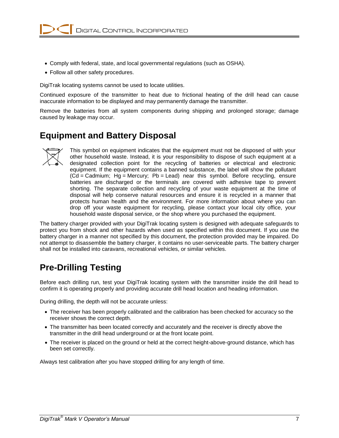- Comply with federal, state, and local governmental regulations (such as OSHA).
- Follow all other safety procedures.

DigiTrak locating systems cannot be used to locate utilities.

Continued exposure of the transmitter to heat due to frictional heating of the drill head can cause inaccurate information to be displayed and may permanently damage the transmitter.

Remove the batteries from all system components during shipping and prolonged storage; damage caused by leakage may occur.

### **Equipment and Battery Disposal**



This symbol on equipment indicates that the equipment must not be disposed of with your other household waste. Instead, it is your responsibility to dispose of such equipment at a designated collection point for the recycling of batteries or electrical and electronic equipment. If the equipment contains a banned substance, the label will show the pollutant (Cd = Cadmium; Hg = Mercury; Pb = Lead) near this symbol. Before recycling, ensure batteries are discharged or the terminals are covered with adhesive tape to prevent shorting. The separate collection and recycling of your waste equipment at the time of disposal will help conserve natural resources and ensure it is recycled in a manner that protects human health and the environment. For more information about where you can drop off your waste equipment for recycling, please contact your local city office, your household waste disposal service, or the shop where you purchased the equipment.

The battery charger provided with your DigiTrak locating system is designed with adequate safeguards to protect you from shock and other hazards when used as specified within this document. If you use the battery charger in a manner not specified by this document, the protection provided may be impaired. Do not attempt to disassemble the battery charger, it contains no user-serviceable parts. The battery charger shall not be installed into caravans, recreational vehicles, or similar vehicles.

# **Pre-Drilling Testing**

Before each drilling run, test your DigiTrak locating system with the transmitter inside the drill head to confirm it is operating properly and providing accurate drill head location and heading information.

During drilling, the depth will not be accurate unless:

- The receiver has been properly calibrated and the calibration has been checked for accuracy so the receiver shows the correct depth.
- The transmitter has been located correctly and accurately and the receiver is directly above the transmitter in the drill head underground or at the front locate point.
- The receiver is placed on the ground or held at the correct height-above-ground distance, which has been set correctly.

Always test calibration after you have stopped drilling for any length of time.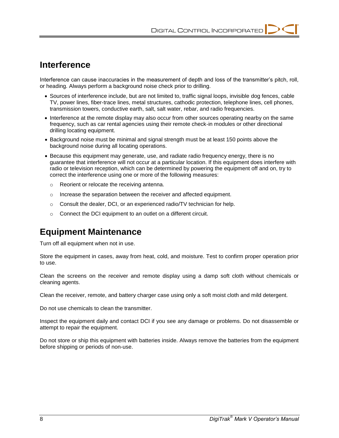### **Interference**

Interference can cause inaccuracies in the measurement of depth and loss of the transmitter's pitch, roll, or heading. Always perform a background noise check prior to drilling.

- Sources of interference include, but are not limited to, traffic signal loops, invisible dog fences, cable TV, power lines, fiber-trace lines, metal structures, cathodic protection, telephone lines, cell phones, transmission towers, conductive earth, salt, salt water, rebar, and radio frequencies.
- Interference at the remote display may also occur from other sources operating nearby on the same frequency, such as car rental agencies using their remote check-in modules or other directional drilling locating equipment.
- Background noise must be minimal and signal strength must be at least 150 points above the background noise during all locating operations.
- Because this equipment may generate, use, and radiate radio frequency energy, there is no guarantee that interference will not occur at a particular location. If this equipment does interfere with radio or television reception, which can be determined by powering the equipment off and on, try to correct the interference using one or more of the following measures:
	- o Reorient or relocate the receiving antenna.
	- o Increase the separation between the receiver and affected equipment.
	- $\circ$  Consult the dealer, DCI, or an experienced radio/TV technician for help.
	- o Connect the DCI equipment to an outlet on a different circuit.

## **Equipment Maintenance**

Turn off all equipment when not in use.

Store the equipment in cases, away from heat, cold, and moisture. Test to confirm proper operation prior to use.

Clean the screens on the receiver and remote display using a damp soft cloth without chemicals or cleaning agents.

Clean the receiver, remote, and battery charger case using only a soft moist cloth and mild detergent.

Do not use chemicals to clean the transmitter.

Inspect the equipment daily and contact DCI if you see any damage or problems. Do not disassemble or attempt to repair the equipment.

Do not store or ship this equipment with batteries inside. Always remove the batteries from the equipment before shipping or periods of non-use.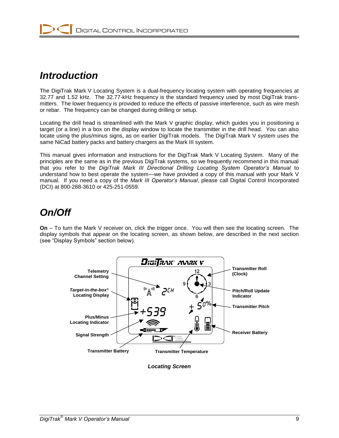# *Introduction*

The DigiTrak Mark V Locating System is a dual-frequency locating system with operating frequencies at 32.77 and 1.52 kHz. The 32.77-kHz frequency is the standard frequency used by most DigiTrak transmitters. The lower frequency is provided to reduce the effects of passive interference, such as wire mesh or rebar. The frequency can be changed during drilling or setup.

Locating the drill head is streamlined with the Mark V graphic display, which guides you in positioning a target (or a line) in a box on the display window to locate the transmitter in the drill head. You can also locate using the plus/minus signs, as on earlier DigiTrak models. The DigiTrak Mark V system uses the same NiCad battery packs and battery chargers as the Mark III system.

This manual gives information and instructions for the DigiTrak Mark V Locating System. Many of the principles are the same as in the previous DigiTrak systems, so we frequently recommend in this manual that you refer to the *DigiTrak Mark III Directional Drilling Locating System Operator's Manual* to understand how to best operate the system—we have provided a copy of this manual with your Mark V manual. If you need a copy of the *Mark III Operator's Manual*, please call Digital Control Incorporated (DCI) at 800-288-3610 or 425-251-0559.

# *On/Off*

**On** – To turn the Mark V receiver on, click the trigger once. You will then see the locating screen. The display symbols that appear on the locating screen, as shown below, are described in the next section (see "Display Symbols" section below).



*Locating Screen*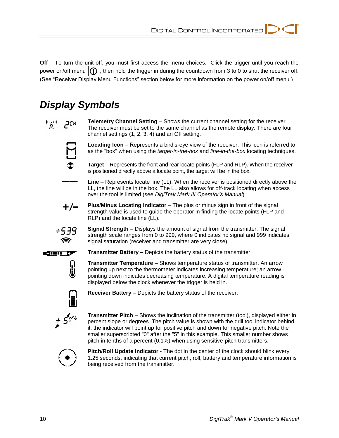**Off** – To turn the unit off, you must first access the menu choices. Click the trigger until you reach the power on/off menu  $\{ \}$ , then hold the trigger in during the countdown from 3 to 0 to shut the receiver off. (See "Receiver Display Menu Functions" section below for more information on the power on/off menu.)

# *Display Symbols*

 $\binom{n}{k}$  $PCH$ 

**Telemetry Channel Setting** – Shows the current channel setting for the receiver. The receiver must be set to the same channel as the remote display. There are four channel settings (1, 2, 3, 4) and an Off setting.



**Locating Icon** – Represents a bird's-eye view of the receiver. This icon is referred to as the "box" when using the *target-in-the-box* and *line-in-the-box* locating techniques.



**Line** – Represents locate line (LL). When the receiver is positioned directly above the LL, the line will be in the box. The LL also allows for off-track locating when access over the tool is limited (see *DigiTrak Mark III Operator's Manual*).



**Plus/Minus Locating Indicator** – The plus or minus sign in front of the signal strength value is used to guide the operator in finding the locate points (FLP and RLP) and the locate line (LL).



**Signal Strength** – Displays the amount of signal from the transmitter. The signal strength scale ranges from 0 to 999, where 0 indicates no signal and 999 indicates signal saturation (receiver and transmitter are very close).



**Transmitter Battery –** Depicts the battery status of the transmitter.

**Transmitter Temperature** – Shows temperature status of transmitter. An arrow pointing up next to the thermometer indicates increasing temperature; an arrow pointing down indicates decreasing temperature. A digital temperature reading is displayed below the clock whenever the trigger is held in.



日息

**Receiver Battery** – Depicts the battery status of the receiver.



**Transmitter Pitch** – Shows the inclination of the transmitter (tool), displayed either in percent slope or degrees. The pitch value is shown with the drill tool indicator behind it; the indicator will point up for positive pitch and down for negative pitch. Note the smaller superscripted "0" after the "5" in this example. This smaller number shows pitch in tenths of a percent (0.1%) when using sensitive-pitch transmitters.



**Pitch/Roll Update Indicator** - The dot in the center of the clock should blink every 1.25 seconds, indicating that current pitch, roll, battery and temperature information is being received from the transmitter.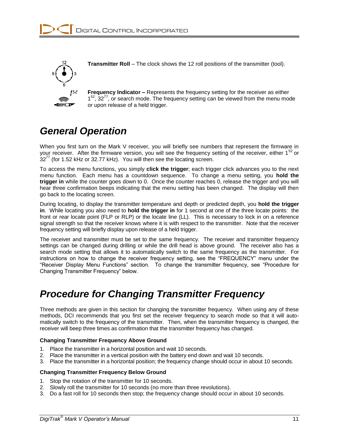

**Transmitter Roll** – The clock shows the 12 roll positions of the transmitter (tool).

**Frequency Indicator –** Represents the frequency setting for the receiver as either  $1<sup>52</sup>$ ,  $32<sup>77</sup>$ , or search mode. The frequency setting can be viewed from the menu mode or upon release of a held trigger.

# *General Operation*

When you first turn on the Mark V receiver, you will briefly see numbers that represent the firmware in your receiver. After the firmware version, you will see the frequency setting of the receiver, either  $1^{52}$  or  $32''$  (for 1.52 kHz or 32.77 kHz). You will then see the locating screen.

To access the menu functions, you simply **click the trigger**; each trigger click advances you to the next menu function. Each menu has a countdown sequence. To change a menu setting, you **hold the trigger in** while the counter goes down to 0. Once the counter reaches 0, release the trigger and you will hear three confirmation beeps indicating that the menu setting has been changed. The display will then go back to the locating screen.

During locating, to display the transmitter temperature and depth or predicted depth, you **hold the trigger in**. While locating you also need to **hold the trigger in** for 1 second at one of the three locate points: the front or rear locate point (FLP or RLP) or the locate line (LL). This is necessary to lock in on a reference signal strength so that the receiver knows where it is with respect to the transmitter. Note that the receiver frequency setting will briefly display upon release of a held trigger.

The receiver and transmitter must be set to the same frequency. The receiver and transmitter frequency settings can be changed during drilling or while the drill head is above ground. The receiver also has a search mode setting that allows it to automatically switch to the same frequency as the transmitter. For instructions on how to change the receiver frequency setting, see the "FREQUENCY" menu under the "Receiver Display Menu Functions" section. To change the transmitter frequency, see "Procedure for Changing Transmitter Frequency" below.

# *Procedure for Changing Transmitter Frequency*

Three methods are given in this section for changing the transmitter frequency. When using any of these methods, DCI recommends that you first set the receiver frequency to search mode so that it will automatically switch to the frequency of the transmitter. Then, when the transmitter frequency is changed, the receiver will beep three times as confirmation that the transmitter frequency has changed.

#### **Changing Transmitter Frequency Above Ground**

- 1. Place the transmitter in a horizontal position and wait 10 seconds.
- 2. Place the transmitter in a vertical position with the battery end down and wait 10 seconds.
- 3. Place the transmitter in a horizontal position; the frequency change should occur in about 10 seconds.

#### **Changing Transmitter Frequency Below Ground**

- 1. Stop the rotation of the transmitter for 10 seconds.
- 2. Slowly roll the transmitter for 10 seconds (no more than three revolutions).
- 3. Do a fast roll for 10 seconds then stop; the frequency change should occur in about 10 seconds.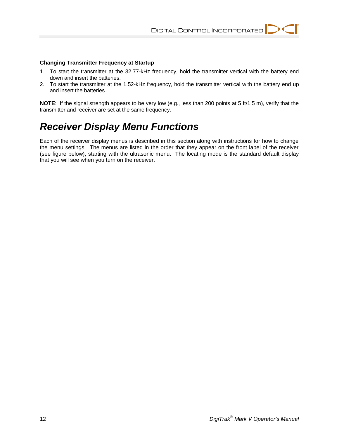#### **Changing Transmitter Frequency at Startup**

- 1. To start the transmitter at the 32.77-kHz frequency, hold the transmitter vertical with the battery end down and insert the batteries.
- 2. To start the transmitter at the 1.52-kHz frequency, hold the transmitter vertical with the battery end up and insert the batteries.

**NOTE**: If the signal strength appears to be very low (e.g., less than 200 points at 5 ft/1.5 m), verify that the transmitter and receiver are set at the same frequency.

# *Receiver Display Menu Functions*

Each of the receiver display menus is described in this section along with instructions for how to change the menu settings. The menus are listed in the order that they appear on the front label of the receiver (see figure below), starting with the ultrasonic menu. The locating mode is the standard default display that you will see when you turn on the receiver.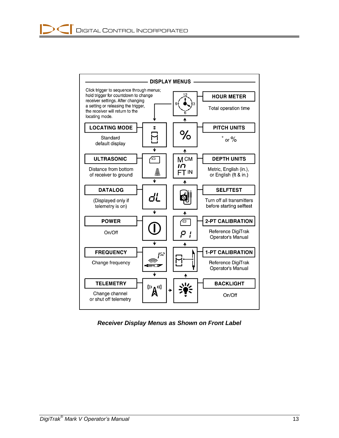

*Receiver Display Menus as Shown on Front Label*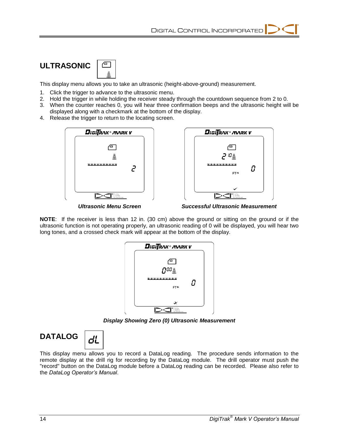

This display menu allows you to take an ultrasonic (height-above-ground) measurement.

- 1. Click the trigger to advance to the ultrasonic menu.
- 2. Hold the trigger in while holding the receiver steady through the countdown sequence from 2 to 0.
- 3. When the counter reaches 0, you will hear three confirmation beeps and the ultrasonic height will be displayed along with a checkmark at the bottom of the display.
- 4. Release the trigger to return to the locating screen.





*Ultrasonic Menu Screen Successful Ultrasonic Measurement*

**NOTE**: If the receiver is less than 12 in. (30 cm) above the ground or sitting on the ground or if the ultrasonic function is not operating properly, an ultrasonic reading of 0 will be displayed, you will hear two long tones, and a crossed check mark will appear at the bottom of the display.



*Display Showing Zero (0) Ultrasonic Measurement*

**DATALOG** 



This display menu allows you to record a DataLog reading. The procedure sends information to the remote display at the drill rig for recording by the DataLog module. The drill operator must push the "record" button on the DataLog module before a DataLog reading can be recorded. Please also refer to the *DataLog Operator's Manual*.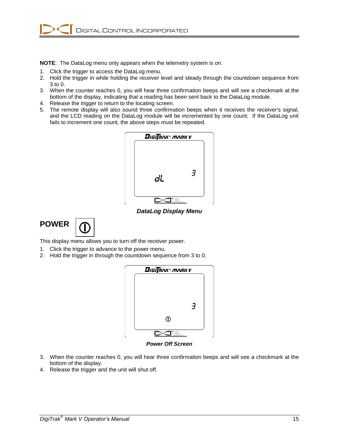**NOTE**: The DataLog menu only appears when the telemetry system is on.

- 1. Click the trigger to access the DataLog menu.
- 2. Hold the trigger in while holding the receiver level and steady through the countdown sequence from 3 to 0.
- 3. When the counter reaches 0, you will hear three confirmation beeps and will see a checkmark at the bottom of the display, indicating that a reading has been sent back to the DataLog module.
- 4. Release the trigger to return to the locating screen.
- 5. The remote display will also sound three confirmation beeps when it receives the receiver's signal, and the LCD reading on the DataLog module will be incremented by one count. If the DataLog unit fails to increment one count, the above steps must be repeated.



*DataLog Display Menu*



This display menu allows you to turn off the receiver power.

- 1. Click the trigger to advance to the power menu.
- 2. Hold the trigger in through the countdown sequence from 3 to 0.



*Power Off Screen*

- 3. When the counter reaches 0, you will hear three confirmation beeps and will see a checkmark at the bottom of the display.
- 4. Release the trigger and the unit will shut off.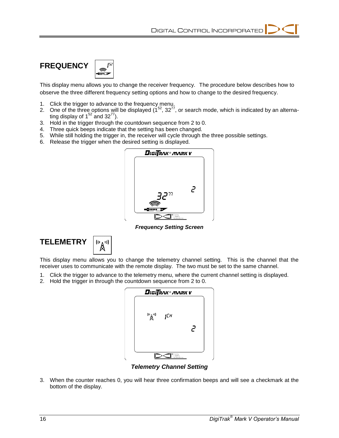

This display menu allows you to change the receiver frequency. The procedure below describes how to observe the three different frequency setting options and how to change to the desired frequency.

- 1. Click the trigger to advance to the frequency menu.
- 2. One of the three options will be displayed  $(1^{52}, 32^{77})$ , or search mode, which is indicated by an alternating display of  $1^{52}$  and  $32^{77}$ ).
- 3. Hold in the trigger through the countdown sequence from 2 to 0.
- 4. Three quick beeps indicate that the setting has been changed.
- 5. While still holding the trigger in, the receiver will cycle through the three possible settings.
- 6. Release the trigger when the desired setting is displayed.



*Frequency Setting Screen*



This display menu allows you to change the telemetry channel setting. This is the channel that the receiver uses to communicate with the remote display. The two must be set to the same channel.

- 1. Click the trigger to advance to the telemetry menu, where the current channel setting is displayed.
- 2. Hold the trigger in through the countdown sequence from 2 to 0.



*Telemetry Channel Setting*

3. When the counter reaches 0, you will hear three confirmation beeps and will see a checkmark at the bottom of the display.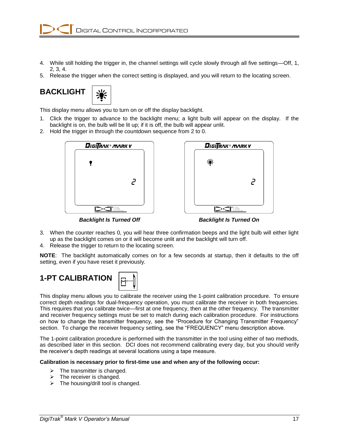- 4. While still holding the trigger in, the channel settings will cycle slowly through all five settings—Off, 1, 2, 3, 4.
- 5. Release the trigger when the correct setting is displayed, and you will return to the locating screen.





This display menu allows you to turn on or off the display backlight.

- 1. Click the trigger to advance to the backlight menu; a light bulb will appear on the display. If the backlight is on, the bulb will be lit up; if it is off, the bulb will appear unlit.
- 2. Hold the trigger in through the countdown sequence from 2 to 0.





*Backlight Is Turned Off Backlight Is Turned On*

- 3. When the counter reaches 0, you will hear three confirmation beeps and the light bulb will either light up as the backlight comes on or it will become unlit and the backlight will turn off.
- 4. Release the trigger to return to the locating screen.

**NOTE**: The backlight automatically comes on for a few seconds at startup, then it defaults to the off setting, even if you have reset it previously.



This display menu allows you to calibrate the receiver using the 1-point calibration procedure. To ensure correct depth readings for dual-frequency operation, you must calibrate the receiver in both frequencies. This requires that you calibrate twice—first at one frequency, then at the other frequency. The transmitter and receiver frequency settings must be set to match during each calibration procedure. For instructions on how to change the transmitter frequency, see the "Procedure for Changing Transmitter Frequency" section. To change the receiver frequency setting, see the "FREQUENCY" menu description above.

The 1-point calibration procedure is performed with the transmitter in the tool using either of two methods, as described later in this section. DCI does not recommend calibrating every day, but you should verify the receiver's depth readings at several locations using a tape measure.

#### **Calibration is necessary prior to first-time use and when any of the following occur:**

- $\triangleright$  The transmitter is changed.
- $\triangleright$  The receiver is changed.
- $\triangleright$  The housing/drill tool is changed.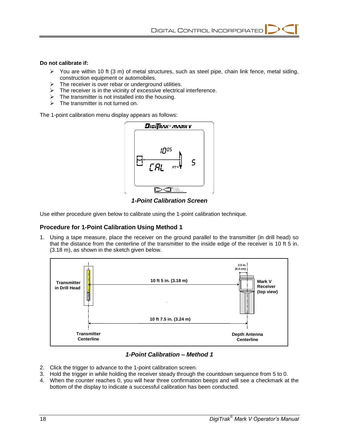#### **Do not calibrate if:**

- $\triangleright$  You are within 10 ft (3 m) of metal structures, such as steel pipe, chain link fence, metal siding, construction equipment or automobiles.
- $\triangleright$  The receiver is over rebar or underground utilities.
- $\triangleright$  The receiver is in the vicinity of excessive electrical interference.
- $\triangleright$  The transmitter is not installed into the housing.
- $\triangleright$  The transmitter is not turned on.

The 1-point calibration menu display appears as follows:



*1-Point Calibration Screen*

Use either procedure given below to calibrate using the 1-point calibration technique.

#### **Procedure for 1-Point Calibration Using Method 1**

1. Using a tape measure, place the receiver on the ground parallel to the transmitter (in drill head) so that the distance from the centerline of the transmitter to the inside edge of the receiver is 10 ft 5 in. (3.18 m), as shown in the sketch given below.



#### *1-Point Calibration – Method 1*

- 2. Click the trigger to advance to the 1-point calibration screen.
- 3. Hold the trigger in while holding the receiver steady through the countdown sequence from 5 to 0.
- 4. When the counter reaches 0, you will hear three confirmation beeps and will see a checkmark at the bottom of the display to indicate a successful calibration has been conducted.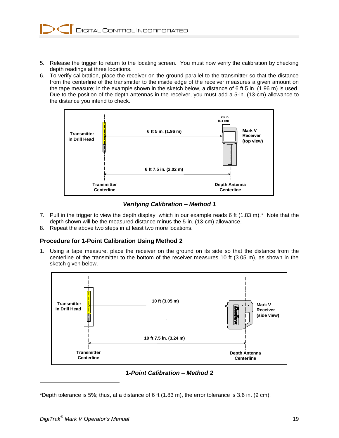- 5. Release the trigger to return to the locating screen. You must now verify the calibration by checking depth readings at three locations.
- 6. To verify calibration, place the receiver on the ground parallel to the transmitter so that the distance from the centerline of the transmitter to the inside edge of the receiver measures a given amount on the tape measure; in the example shown in the sketch below, a distance of 6 ft 5 in. (1.96 m) is used. Due to the position of the depth antennas in the receiver, you must add a 5-in. (13-cm) allowance to the distance you intend to check.



*Verifying Calibration – Method 1*

- 7. Pull in the trigger to view the depth display, which in our example reads 6 ft (1.83 m).\* Note that the depth shown will be the measured distance minus the 5-in. (13-cm) allowance.
- 8. Repeat the above two steps in at least two more locations.

#### **Procedure for 1-Point Calibration Using Method 2**

1. Using a tape measure, place the receiver on the ground on its side so that the distance from the centerline of the transmitter to the bottom of the receiver measures 10 ft (3.05 m), as shown in the sketch given below.



*1-Point Calibration – Method 2*

\*Depth tolerance is 5%; thus, at a distance of 6 ft  $(1.83 \text{ m})$ , the error tolerance is 3.6 in.  $(9 \text{ cm})$ .

l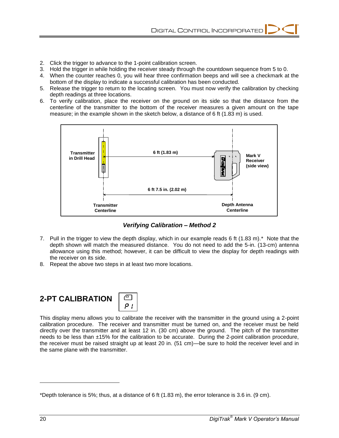- 2. Click the trigger to advance to the 1-point calibration screen.
- 3. Hold the trigger in while holding the receiver steady through the countdown sequence from 5 to 0.
- 4. When the counter reaches 0, you will hear three confirmation beeps and will see a checkmark at the bottom of the display to indicate a successful calibration has been conducted.
- 5. Release the trigger to return to the locating screen. You must now verify the calibration by checking depth readings at three locations.
- 6. To verify calibration, place the receiver on the ground on its side so that the distance from the centerline of the transmitter to the bottom of the receiver measures a given amount on the tape measure; in the example shown in the sketch below, a distance of 6 ft (1.83 m) is used.



*Verifying Calibration – Method 2*

- 7. Pull in the trigger to view the depth display, which in our example reads 6 ft (1.83 m).\* Note that the depth shown will match the measured distance. You do not need to add the 5-in. (13-cm) antenna allowance using this method; however, it can be difficult to view the display for depth readings with the receiver on its side.
- 8. Repeat the above two steps in at least two more locations.





This display menu allows you to calibrate the receiver with the transmitter in the ground using a 2-point calibration procedure. The receiver and transmitter must be turned on, and the receiver must be held directly over the transmitter and at least 12 in. (30 cm) above the ground. The pitch of the transmitter needs to be less than ±15% for the calibration to be accurate. During the 2-point calibration procedure, the receiver must be raised straight up at least 20 in. (51 cm)—be sure to hold the receiver level and in the same plane with the transmitter.

l

<sup>\*</sup>Depth tolerance is 5%; thus, at a distance of 6 ft  $(1.83 \text{ m})$ , the error tolerance is 3.6 in.  $(9 \text{ cm})$ .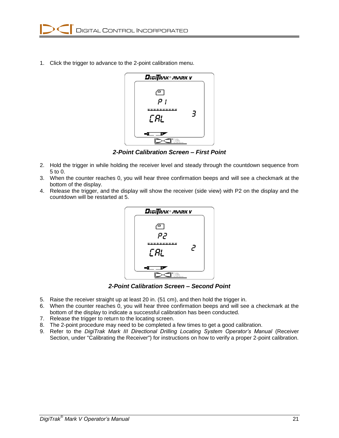1. Click the trigger to advance to the 2-point calibration menu.



*2-Point Calibration Screen – First Point* 

- 2. Hold the trigger in while holding the receiver level and steady through the countdown sequence from 5 to 0.
- 3. When the counter reaches 0, you will hear three confirmation beeps and will see a checkmark at the bottom of the display.
- 4. Release the trigger, and the display will show the receiver (side view) with P2 on the display and the countdown will be restarted at 5.



*2-Point Calibration Screen – Second Point* 

- 5. Raise the receiver straight up at least 20 in. (51 cm), and then hold the trigger in.
- 6. When the counter reaches 0, you will hear three confirmation beeps and will see a checkmark at the bottom of the display to indicate a successful calibration has been conducted.
- 7. Release the trigger to return to the locating screen.
- 8. The 2-point procedure may need to be completed a few times to get a good calibration.
- 9. Refer to the *DigiTrak Mark III Directional Drilling Locating System Operator's Manual* (Receiver Section, under "Calibrating the Receiver") for instructions on how to verify a proper 2-point calibration.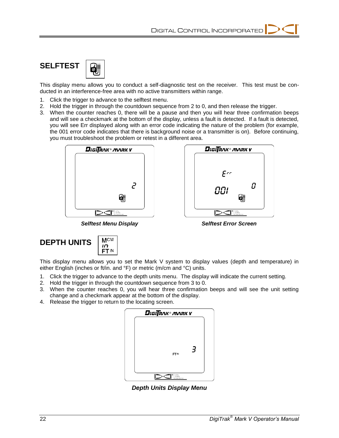DigiTRAK® MARK Y

Ε٢٢

001

DCI

0

녷



This display menu allows you to conduct a self-diagnostic test on the receiver. This test must be conducted in an interference-free area with no active transmitters within range.

- 1. Click the trigger to advance to the selftest menu.
- 2. Hold the trigger in through the countdown sequence from 2 to 0, and then release the trigger.
- 3. When the counter reaches 0, there will be a pause and then you will hear three confirmation beeps and will see a checkmark at the bottom of the display, unless a fault is detected. If a fault is detected, you will see Err displayed along with an error code indicating the nature of the problem (for example, the 001 error code indicates that there is background noise or a transmitter is on). Before continuing, you must troubleshoot the problem or retest in a different area.



*Selftest Menu Display Selftest Error Screen*

| <b>DEPTH UNITS</b> | $\begin{array}{c} \n\sqrt{2} \\ \hline\n\sqrt{2} \\ \hline\n\sqrt{2} \\ \hline\n\end{array}$ |
|--------------------|----------------------------------------------------------------------------------------------|

This display menu allows you to set the Mark V system to display values (depth and temperature) in either English (inches or ft/in. and °F) or metric (m/cm and °C) units.

- 1. Click the trigger to advance to the depth units menu. The display will indicate the current setting.
- 2. Hold the trigger in through the countdown sequence from 3 to 0.
- 3. When the counter reaches 0, you will hear three confirmation beeps and will see the unit setting change and a checkmark appear at the bottom of the display.
- 4. Release the trigger to return to the locating screen.



*Depth Units Display Menu*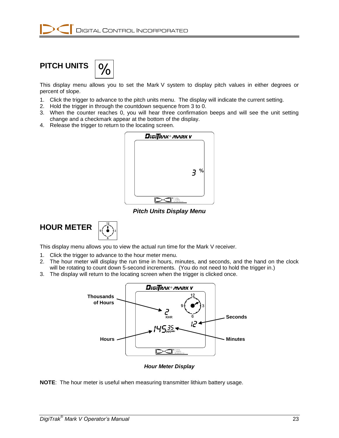# **PITCH UNITS**

This display menu allows you to set the Mark V system to display pitch values in either degrees or percent of slope.

- 1. Click the trigger to advance to the pitch units menu. The display will indicate the current setting.
- 2. Hold the trigger in through the countdown sequence from 3 to 0.
- 3. When the counter reaches 0, you will hear three confirmation beeps and will see the unit setting change and a checkmark appear at the bottom of the display.
- 4. Release the trigger to return to the locating screen.



*Pitch Units Display Menu*





This display menu allows you to view the actual run time for the Mark V receiver.

- 1. Click the trigger to advance to the hour meter menu.
- 2. The hour meter will display the run time in hours, minutes, and seconds, and the hand on the clock will be rotating to count down 5-second increments. (You do not need to hold the trigger in.)
- 3. The display will return to the locating screen when the trigger is clicked once.



*Hour Meter Display*

**NOTE**: The hour meter is useful when measuring transmitter lithium battery usage.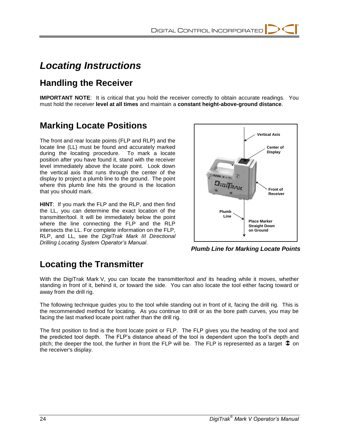# *Locating Instructions*

# **Handling the Receiver**

**IMPORTANT NOTE**: It is critical that you hold the receiver correctly to obtain accurate readings. You must hold the receiver **level at all times** and maintain a **constant height-above-ground distance**.

# **Marking Locate Positions**

The front and rear locate points (FLP and RLP) and the locate line (LL) must be found and accurately marked during the locating procedure. To mark a locate position after you have found it, stand with the receiver level immediately above the locate point. Look down the vertical axis that runs through the center of the display to project a plumb line to the ground. The point where this plumb line hits the ground is the location that you should mark.

**HINT**: If you mark the FLP and the RLP, and then find the LL, you can determine the exact location of the transmitter/tool. It will be immediately below the point where the line connecting the FLP and the RLP intersects the LL. For complete information on the FLP, RLP, and LL, see the *DigiTrak Mark III Directional Drilling Locating System Operator's Manual*.



*Plumb Line for Marking Locate Points*

## **Locating the Transmitter**

With the DigiTrak Mark V, you can locate the transmitter/tool *and* its heading while it moves, whether standing in front of it, behind it, *or* toward the side. You can also locate the tool either facing toward or away from the drill rig.

The following technique guides you to the tool while standing out in front of it, facing the drill rig. This is the recommended method for locating. As you continue to drill or as the bore path curves, you may be facing the last marked locate point rather than the drill rig.

The first position to find is the front locate point or FLP. The FLP gives you the heading of the tool and the predicted tool depth. The FLP's distance ahead of the tool is dependent upon the tool's depth and pitch; the deeper the tool, the further in front the FLP will be. The FLP is represented as a target  $\mathfrak D$  on the receiver's display.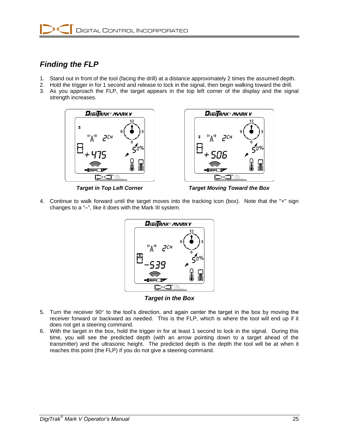

### *Finding the FLP*

- 1. Stand out in front of the tool (facing the drill) at a distance approximately 2 times the assumed depth.
- 2. Hold the trigger in for 1 second and release to lock in the signal, then begin walking toward the drill.
- 3. As you approach the FLP, the target appears in the top left corner of the display and the signal strength increases.





*Target in Top Left Corner Target Moving Toward the Box*

4. Continue to walk forward until the target moves into the tracking icon (box). Note that the "+" sign changes to a "–", like it does with the Mark III system.



*Target in the Box*

- 5. Turn the receiver  $90^\circ$  to the tool's direction, and again center the target in the box by moving the receiver forward or backward as needed. This is the FLP, which is where the tool will end up if it does not get a steering command.
- 6. With the target in the box, hold the trigger in for at least 1 second to lock in the signal. During this time, you will see the predicted depth (with an arrow pointing down to a target ahead of the transmitter) and the ultrasonic height. The predicted depth is the depth the tool will be at when it reaches this point (the FLP) if you do not give a steering command.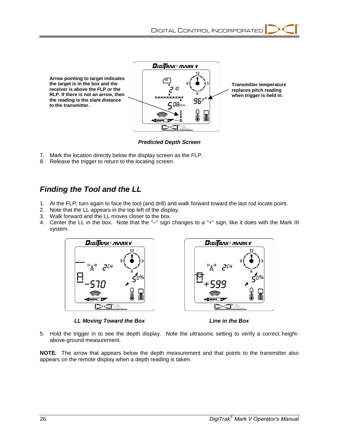

*Predicted Depth Screen*

- 7. Mark the location directly below the display screen as the FLP.
- 8. Release the trigger to return to the locating screen.

### *Finding the Tool and the LL*

- 1. At the FLP, turn again to face the tool (and drill) and walk forward toward the last rod locate point.
- 2. Note that the LL appears in the top left of the display.
- 3. Walk forward and the LL moves closer to the box.
- 4. Center the LL in the box. Note that the "–" sign changes to a "+" sign, like it does with the Mark III system.



*LL Moving Toward the Box Line in the Box*

5. Hold the trigger in to see the depth display. Note the ultrasonic setting to verify a correct heightabove-ground measurement.

**NOTE**: The arrow that appears below the depth measurement and that points to the transmitter also appears on the remote display when a depth reading is taken.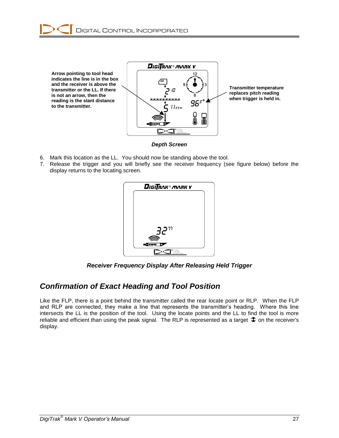



*Depth Screen*

- 6. Mark this location as the LL. You should now be standing above the tool.
- 7. Release the trigger and you will briefly see the receiver frequency (see figure below) before the display returns to the locating screen.



*Receiver Frequency Display After Releasing Held Trigger*

#### *Confirmation of Exact Heading and Tool Position*

Like the FLP, there is a point behind the transmitter called the rear locate point or RLP. When the FLP and RLP are connected, they make a line that represents the transmitter's heading. Where this line intersects the LL is the position of the tool. Using the locate points and the LL to find the tool is more reliable and efficient than using the peak signal. The RLP is represented as a target  $\hat{\Phi}$  on the receiver's display.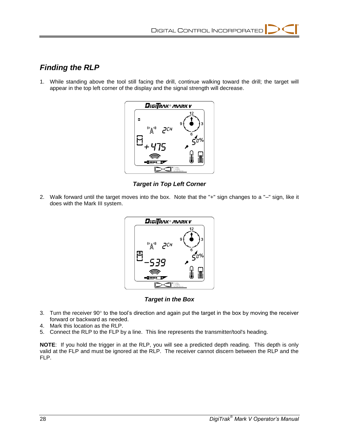### *Finding the RLP*

1. While standing above the tool still facing the drill, continue walking toward the drill; the target will appear in the top left corner of the display and the signal strength will decrease.



*Target in Top Left Corner*

2. Walk forward until the target moves into the box. Note that the "+" sign changes to a "–" sign, like it does with the Mark III system.



*Target in the Box*

- 3. Turn the receiver  $90^\circ$  to the tool's direction and again put the target in the box by moving the receiver forward or backward as needed.
- 4. Mark this location as the RLP.
- 5. Connect the RLP to the FLP by a line. This line represents the transmitter/tool's heading.

**NOTE**: If you hold the trigger in at the RLP, you will see a predicted depth reading. This depth is only valid at the FLP and must be ignored at the RLP. The receiver cannot discern between the RLP and the FLP.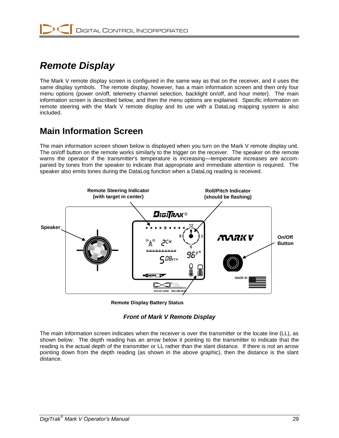

# *Remote Display*

The Mark V remote display screen is configured in the same way as that on the receiver, and it uses the same display symbols. The remote display, however, has a main information screen and then only four menu options (power on/off, telemetry channel selection, backlight on/off, and hour meter). The main information screen is described below, and then the menu options are explained. Specific information on remote steering with the Mark V remote display and its use with a DataLog mapping system is also included.

## **Main Information Screen**

The main information screen shown below is displayed when you turn on the Mark V remote display unit. The on/off button on the remote works similarly to the trigger on the receiver. The speaker on the remote warns the operator if the transmitter's temperature is increasing—temperature increases are accompanied by tones from the speaker to indicate that appropriate and immediate attention is required. The speaker also emits tones during the DataLog function when a DataLog reading is received.



**Remote Display Battery Status**

#### *Front of Mark V Remote Display*

The main information screen indicates when the receiver is over the transmitter or the locate line (LL), as shown below. The depth reading has an arrow below it pointing to the transmitter to indicate that the reading is the actual depth of the transmitter or LL rather than the slant distance. If there is not an arrow pointing down from the depth reading (as shown in the above graphic), then the distance is the slant distance.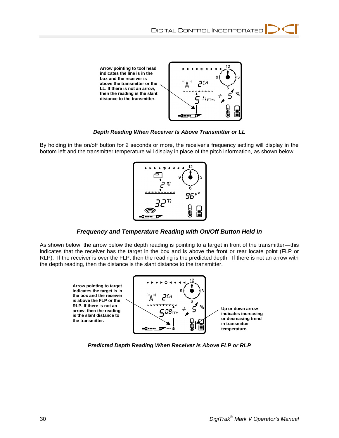

*Depth Reading When Receiver Is Above Transmitter or LL*

By holding in the on/off button for 2 seconds or more, the receiver's frequency setting will display in the bottom left and the transmitter temperature will display in place of the pitch information, as shown below.



*Frequency and Temperature Reading with On/Off Button Held In*

As shown below, the arrow below the depth reading is pointing to a target in front of the transmitter—this indicates that the receiver has the target in the box and is above the front or rear locate point (FLP or RLP). If the receiver is over the FLP, then the reading is the predicted depth. If there is not an arrow with the depth reading, then the distance is the slant distance to the transmitter.



*Predicted Depth Reading When Receiver Is Above FLP or RLP*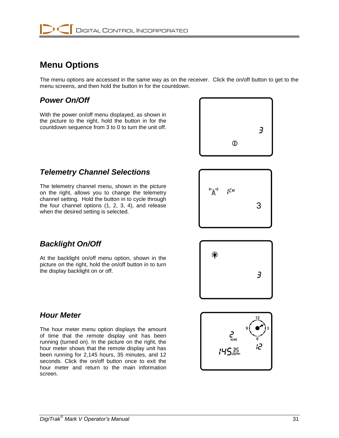# **Menu Options**

The menu options are accessed in the same way as on the receiver. Click the on/off button to get to the menu screens, and then hold the button in for the countdown.

### *Power On/Off*

With the power on/off menu displayed, as shown in the picture to the right, hold the button in for the countdown sequence from 3 to 0 to turn the unit off.



### *Telemetry Channel Selections*

The telemetry channel menu, shown in the picture on the right, allows you to change the telemetry channel setting. Hold the button in to cycle through the four channel options (1, 2, 3, 4), and release when the desired setting is selected.



### *Backlight On/Off*

At the backlight on/off menu option, shown in the picture on the right, hold the on/off button in to turn the display backlight on or off.



### *Hour Meter*

The hour meter menu option displays the amount of time that the remote display unit has been running (turned on). In the picture on the right, the hour meter shows that the remote display unit has been running for 2,145 hours, 35 minutes, and 12 seconds. Click the on/off button once to exit the hour meter and return to the main information screen.

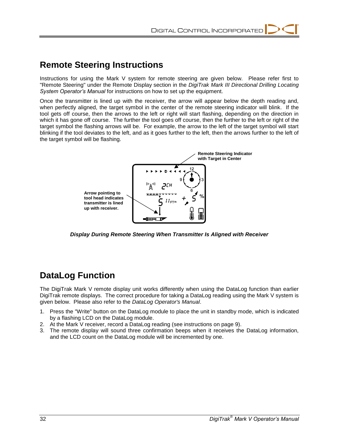### **Remote Steering Instructions**

Instructions for using the Mark V system for remote steering are given below. Please refer first to "Remote Steering" under the Remote Display section in the *DigiTrak Mark III Directional Drilling Locating System Operator's Manual* for instructions on how to set up the equipment.

Once the transmitter is lined up with the receiver, the arrow will appear below the depth reading and, when perfectly aligned, the target symbol in the center of the remote steering indicator will blink. If the tool gets off course, then the arrows to the left or right will start flashing, depending on the direction in which it has gone off course. The further the tool goes off course, then the further to the left or right of the target symbol the flashing arrows will be. For example, the arrow to the left of the target symbol will start blinking if the tool deviates to the left, and as it goes further to the left, then the arrows further to the left of the target symbol will be flashing.



*Display During Remote Steering When Transmitter Is Aligned with Receiver*

## **DataLog Function**

The DigiTrak Mark V remote display unit works differently when using the DataLog function than earlier DigiTrak remote displays. The correct procedure for taking a DataLog reading using the Mark V system is given below. Please also refer to the *DataLog Operator's Manual*.

- 1. Press the "Write" button on the DataLog module to place the unit in standby mode, which is indicated by a flashing LCD on the DataLog module.
- 2. At the Mark V receiver, record a DataLog reading (see instructions on page 9).
- 3. The remote display will sound three confirmation beeps when it receives the DataLog information, and the LCD count on the DataLog module will be incremented by one.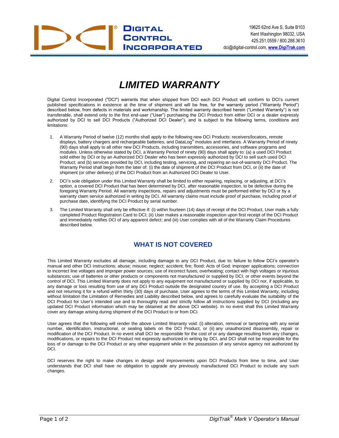

# *LIMITED WARRANTY*

Digital Control Incorporated ("DCI") warrants that when shipped from DCI each DCI Product will conform to DCI's current published specifications in existence at the time of shipment and will be free, for the warranty period ("Warranty Period") described below, from defects in materials and workmanship. The limited warranty described herein ("Limited Warranty") is not transferable, shall extend only to the first end-user ("User") purchasing the DCI Product from either DCI or a dealer expressly authorized by DCI to sell DCI Products ("Authorized DCI Dealer"), and is subject to the following terms, conditions and limitations:

- 1. A Warranty Period of twelve (12) months shall apply to the following new DCI Products: receivers/locators, remote displays, battery chargers and rechargeable batteries, and DataLog<sup>®</sup> modules and interfaces. A Warranty Period of ninety (90) days shall apply to all other new DCI Products, including transmitters, accessories, and software programs and modules. Unless otherwise stated by DCI, a Warranty Period of ninety (90) days shall apply to: (a) a used DCI Product sold either by DCI or by an Authorized DCI Dealer who has been expressly authorized by DCI to sell such used DCI Product; and (b) services provided by DCI, including testing, servicing, and repairing an out-of-warranty DCI Product. The Warranty Period shall begin from the later of: (i) the date of shipment of the DCI Product from DCI, or (ii) the date of shipment (or other delivery) of the DCI Product from an Authorized DCI Dealer to User.
- 2. DCI's sole obligation under this Limited Warranty shall be limited to either repairing, replacing, or adjusting, at DCI's option, a covered DCI Product that has been determined by DCI, after reasonable inspection, to be defective during the foregoing Warranty Period. All warranty inspections, repairs and adjustments must be performed either by DCI or by a warranty claim service authorized in writing by DCI. All warranty claims must include proof of purchase, including proof of purchase date, identifying the DCI Product by serial number.
- 3. The Limited Warranty shall only be effective if: (i) within fourteen (14) days of receipt of the DCI Product, User mails a fully completed Product Registration Card to DCI; (ii) User makes a reasonable inspection upon first receipt of the DCI Product and immediately notifies DCI of any apparent defect; and (iii) User complies with all of the Warranty Claim Procedures described below.

#### **WHAT IS NOT COVERED**

This Limited Warranty excludes all damage, including damage to any DCI Product, due to: failure to follow DCI's operator's manual and other DCI instructions; abuse; misuse; neglect; accident; fire; flood; Acts of God; improper applications; connection to incorrect line voltages and improper power sources; use of incorrect fuses; overheating; contact with high voltages or injurious substances; use of batteries or other products or components not manufactured or supplied by DCI; or other events beyond the control of DCI. This Limited Warranty does not apply to any equipment not manufactured or supplied by DCI nor, if applicable, to any damage or loss resulting from use of any DCI Product outside the designated country of use. By accepting a DCI Product and not returning it for a refund within thirty (30) days of purchase, User agrees to the terms of this Limited Warranty, including without limitation the Limitation of Remedies and Liability described below, and agrees to carefully evaluate the suitability of the DCI Product for User's intended use and to thoroughly read and strictly follow all instructions supplied by DCI (including any updated DCI Product information which may be obtained at the above DCI website). In no event shall this Limited Warranty cover any damage arising during shipment of the DCI Product to or from DCI.

User agrees that the following will render the above Limited Warranty void: (i) alteration, removal or tampering with any serial number, identification, instructional, or sealing labels on the DCI Product, or (ii) any unauthorized disassembly, repair or modification of the DCI Product. In no event shall DCI be responsible for the cost of or any damage resulting from any changes, modifications, or repairs to the DCI Product not expressly authorized in writing by DCI, and DCI shall not be responsible for the loss of or damage to the DCI Product or any other equipment while in the possession of any service agency not authorized by DCI.

DCI reserves the right to make changes in design and improvements upon DCI Products from time to time, and User understands that DCI shall have no obligation to upgrade any previously manufactured DCI Product to include any such changes.